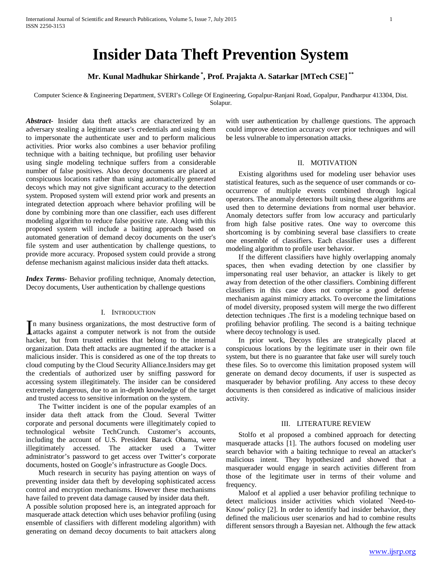# **Insider Data Theft Prevention System**

**Mr. Kunal Madhukar Shirkande \* , Prof. Prajakta A. Satarkar [MTech CSE] \*\***

Computer Science & Engineering Department, SVERI's College Of Engineering, Gopalpur-Ranjani Road, Gopalpur, Pandharpur 413304, Dist. Solapur.

*Abstract***-** Insider data theft attacks are characterized by an adversary stealing a legitimate user's credentials and using them to impersonate the authenticate user and to perform malicious activities. Prior works also combines a user behavior profiling technique with a baiting technique, but profiling user behavior using single modeling technique suffers from a considerable number of false positives. Also decoy documents are placed at conspicuous locations rather than using automatically generated decoys which may not give significant accuracy to the detection system. Proposed system will extend prior work and presents an integrated detection approach where behavior profiling will be done by combining more than one classifier, each uses different modeling algorithm to reduce false positive rate. Along with this proposed system will include a baiting approach based on automated generation of demand decoy documents on the user's file system and user authentication by challenge questions, to provide more accuracy. Proposed system could provide a strong defense mechanism against malicious insider data theft attacks.

*Index Terms*- Behavior profiling technique, Anomaly detection, Decoy documents, User authentication by challenge questions

### I. INTRODUCTION

n many business organizations, the most destructive form of In many business organizations, the most destructive form of attacks against a computer network is not from the outside behavior. hacker, but from trusted entities that belong to the internal organization. Data theft attacks are augmented if the attacker is a malicious insider. This is considered as one of the top threats to cloud computing by the Cloud Security Alliance.Insiders may get the credentials of authorized user by sniffing password for accessing system illegitimately. The insider can be considered extremely dangerous, due to an in-depth knowledge of the target and trusted access to sensitive information on the system.

 The Twitter incident is one of the popular examples of an insider data theft attack from the Cloud. Several Twitter corporate and personal documents were illegitimately copied to technological website TechCrunch. Customer's accounts, including the account of U.S. President Barack Obama, were illegitimately accessed. The attacker used a Twitter administrator's password to get access over Twitter's corporate documents, hosted on Google's infrastructure as Google Docs.

 Much research in security has paying attention on ways of preventing insider data theft by developing sophisticated access control and encryption mechanisms. However these mechanisms have failed to prevent data damage caused by insider data theft. A possible solution proposed here is, an integrated approach for masquerade attack detection which uses behavior profiling (using ensemble of classifiers with different modeling algorithm) with generating on demand decoy documents to bait attackers along with user authentication by challenge questions. The approach could improve detection accuracy over prior techniques and will be less vulnerable to impersonation attacks.

# II. MOTIVATION

 Existing algorithms used for modeling user behavior uses statistical features, such as the sequence of user commands or cooccurrence of multiple events combined through logical operators. The anomaly detectors built using these algorithms are used then to determine deviations from normal user behavior. Anomaly detectors suffer from low accuracy and particularly from high false positive rates. One way to overcome this shortcoming is by combining several base classifiers to create one ensemble of classifiers. Each classifier uses a different modeling algorithm to profile user behavior.

 If the different classifiers have highly overlapping anomaly spaces, then when evading detection by one classifier by impersonating real user behavior, an attacker is likely to get away from detection of the other classifiers. Combining different classifiers in this case does not comprise a good defense mechanism against mimicry attacks. To overcome the limitations of model diversity, proposed system will merge the two different detection techniques .The first is a modeling technique based on profiling behavior profiling. The second is a baiting technique where decoy technology is used.

 In prior work, Decoys files are strategically placed at conspicuous locations by the legitimate user in their own file system, but there is no guarantee that fake user will surely touch these files. So to overcome this limitation proposed system will generate on demand decoy documents, if user is suspected as masquerader by behavior profiling. Any access to these decoy documents is then considered as indicative of malicious insider activity.

#### III. LITERATURE REVIEW

 Stolfo et al proposed a combined approach for detecting masquerade attacks [1]. The authors focused on modeling user search behavior with a baiting technique to reveal an attacker's malicious intent. They hypothesized and showed that a masquerader would engage in search activities different from those of the legitimate user in terms of their volume and frequency.

 Maloof et al applied a user behavior profiling technique to detect malicious insider activities which violated `Need-to-Know' policy [2]. In order to identify bad insider behavior, they defined the malicious user scenarios and had to combine results different sensors through a Bayesian net. Although the few attack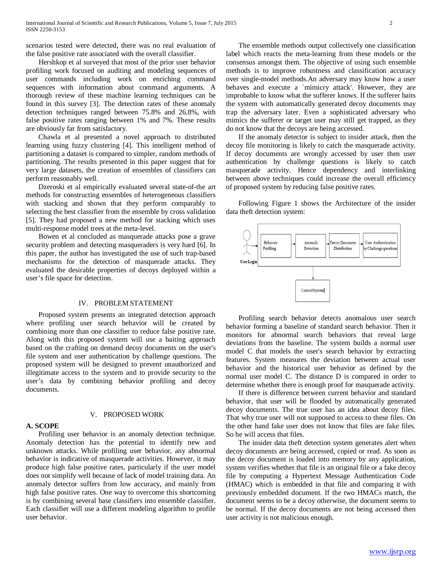scenarios tested were detected, there was no real evaluation of the false positive rate associated with the overall classifier.

 Hershkop et al surveyed that most of the prior user behavior profiling work focused on auditing and modeling sequences of user commands including work on enriching command sequences with information about command arguments. A thorough review of these machine learning techniques can be found in this survey [3]. The detection rates of these anomaly detection techniques ranged between 75.8% and 26.8%, with false positive rates ranging between 1% and 7%. These results are obviously far from satisfactory.

 Chawla et al presented a novel approach to distributed learning using fuzzy clustering [4]. This intelligent method of partitioning a dataset is compared to simpler, random methods of partitioning. The results presented in this paper suggest that for very large datasets, the creation of ensembles of classifiers can perform reasonably well.

 Dzeroski et al empirically evaluated several state-of-the art methods for constructing ensembles of heterogeneous classifiers with stacking and shown that they perform comparably to selecting the best classifier from the ensemble by cross validation [5]. They had proposed a new method for stacking which uses multi-response model trees at the meta-level.

 Bowen et al concluded as masquerade attacks pose a grave security problem and detecting masqueraders is very hard [6]. In this paper, the author has investigated the use of such trap-based mechanisms for the detection of masquerade attacks. They evaluated the desirable properties of decoys deployed within a user's file space for detection.

# IV. PROBLEM STATEMENT

 Proposed system presents an integrated detection approach where profiling user search behavior will be created by combining more than one classifier to reduce false positive rate. Along with this proposed system will use a baiting approach based on the crafting on demand decoy documents on the user's file system and user authentication by challenge questions. The proposed system will be designed to prevent unauthorized and illegitimate access to the system and to provide security to the user's data by combining behavior profiling and decoy documents.

#### **A. SCOPE**

#### V. PROPOSED WORK

 Profiling user behavior is an anomaly detection technique. Anomaly detection has the potential to identify new and unknown attacks. While profiling user behavior, any abnormal behavior is indicative of masquerade activities. However, it may produce high false positive rates, particularly if the user model does not simplify well because of lack of model training data. An anomaly detector suffers from low accuracy, and mainly from high false positive rates. One way to overcome this shortcoming is by combining several base classifiers into ensemble classifier. Each classifier will use a different modeling algorithm to profile user behavior.

 The ensemble methods output collectively one classification label which reacts the meta-learning from these models or the consensus amongst them. The objective of using such ensemble methods is to improve robustness and classification accuracy over single-model methods.An adversary may know how a user behaves and execute a `mimicry attack'. However, they are improbable to know what the sufferer knows. If the sufferer baits the system with automatically generated decoy documents may trap the adversary later. Even a sophisticated adversary who mimics the sufferer or target user may still get trapped, as they do not know that the decoys are being accessed.

 If the anomaly detector is subject to insider attack, then the decoy file monitoring is likely to catch the masquerade activity. If decoy documents are wrongly accessed by user then user authentication by challenge questions is likely to catch masquerade activity. Hence dependency and interlinking between above techniques could increase the overall efficiency of proposed system by reducing false positive rates.

 Following Figure 1 shows the Architecture of the insider data theft detection system:



 Profiling search behavior detects anomalous user search behavior forming a baseline of standard search behavior. Then it monitors for abnormal search behaviors that reveal large deviations from the baseline. The system builds a normal user model C that models the user's search behavior by extracting features. System measures the deviation between actual user behavior and the historical user behavior as defined by the normal user model C. The distance D is compared in order to determine whether there is enough proof for masquerade activity.

 If there is difference between current behavior and standard behavior, that user will be flooded by automatically generated decoy documents. The true user has an idea about decoy files. That why true user will not supposed to access to these files. On the other hand fake user does not know that files are fake files. So he will access that files.

 The insider data theft detection system generates alert when decoy documents are being accessed, copied or read. As soon as the decoy document is loaded into memory by any application, system verifies whether that file is an original file or a fake decoy file by computing a Hypertext Message Authentication Code (HMAC) which is embedded in that file and comparing it with previously embedded document. If the two HMACs match, the document seems to be a decoy otherwise, the document seems to be normal. If the decoy documents are not being accessed then user activity is not malicious enough.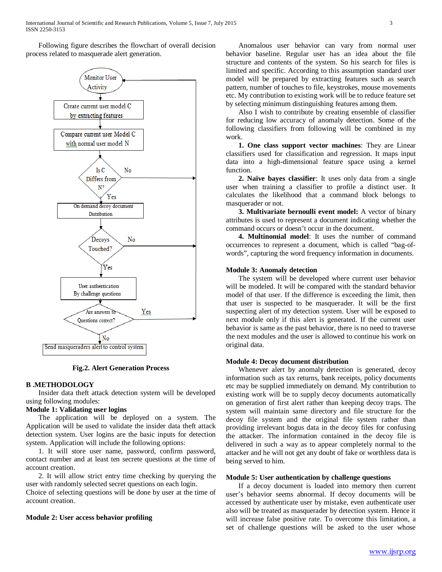Following figure describes the flowchart of overall decision process related to masquerade alert generation.



**Fig.2. Alert Generation Process**

## **B .METHODOLOGY**

 Insider data theft attack detection system will be developed using following modules:

# **Module 1: Validating user logins**

 The application will be deployed on a system. The Application will be used to validate the insider data theft attack detection system. User logins are the basic inputs for detection system. Application will include the following options:

 1. It will store user name, password, confirm password, contact number and at least ten secrete questions at the time of account creation.

 2. It will allow strict entry time checking by querying the user with randomly selected secret questions on each login.

Choice of selecting questions will be done by user at the time of account creation.

## **Module 2: User access behavior profiling**

 Anomalous user behavior can vary from normal user behavior baseline. Regular user has an idea about the file structure and contents of the system. So his search for files is limited and specific. According to this assumption standard user model will be prepared by extracting features such as search pattern, number of touches to file, keystrokes, mouse movements etc. My contribution to existing work will be to reduce feature set by selecting minimum distinguishing features among them.

 Also I wish to contribute by creating ensemble of classifier for reducing low accuracy of anomaly detection. Some of the following classifiers from following will be combined in my work.

 **1. One class support vector machines**: They are Linear classifiers used for classification and regression. It maps input data into a high-dimensional feature space using a kernel function.

 **2. Naïve bayes classifier**: It uses only data from a single user when training a classifier to profile a distinct user. It calculates the likelihood that a command block belongs to masquerader or not.

 **3. Multivariate bernoulli event model:** A vector of binary attributes is used to represent a document indicating whether the command occurs or doesn't occur in the document.

 **4. Multinomial model**: It uses the number of command occurrences to represent a document, which is called "bag-ofwords", capturing the word frequency information in documents.

## **Module 3: Anomaly detection**

 The system will be developed where current user behavior will be modeled. It will be compared with the standard behavior model of that user. If the difference is exceeding the limit, then that user is suspected to be masquerader. It will be the first suspecting alert of my detection system. User will be exposed to next module only if this alert is generated. If the current user behavior is same as the past behavior, there is no need to traverse the next modules and the user is allowed to continue his work on original data.

# **Module 4: Decoy document distribution**

 Whenever alert by anomaly detection is generated, decoy information such as tax returns, bank receipts, policy documents etc may be supplied immediately on demand. My contribution to existing work will be to supply decoy documents automatically on generation of first alert rather than keeping decoy traps. The system will maintain same directory and file structure for the decoy file system and the original file system rather than providing irrelevant bogus data in the decoy files for confusing the attacker. The information contained in the decoy file is delivered in such a way as to appear completely normal to the attacker and he will not get any doubt of fake or worthless data is being served to him.

# **Module 5: User authentication by challenge questions**

 If a decoy document is loaded into memory then current user's behavior seems abnormal. If decoy documents will be accessed by authenticate user by mistake, even authenticate user also will be treated as masquerader by detection system. Hence it will increase false positive rate. To overcome this limitation, a set of challenge questions will be asked to the user whose